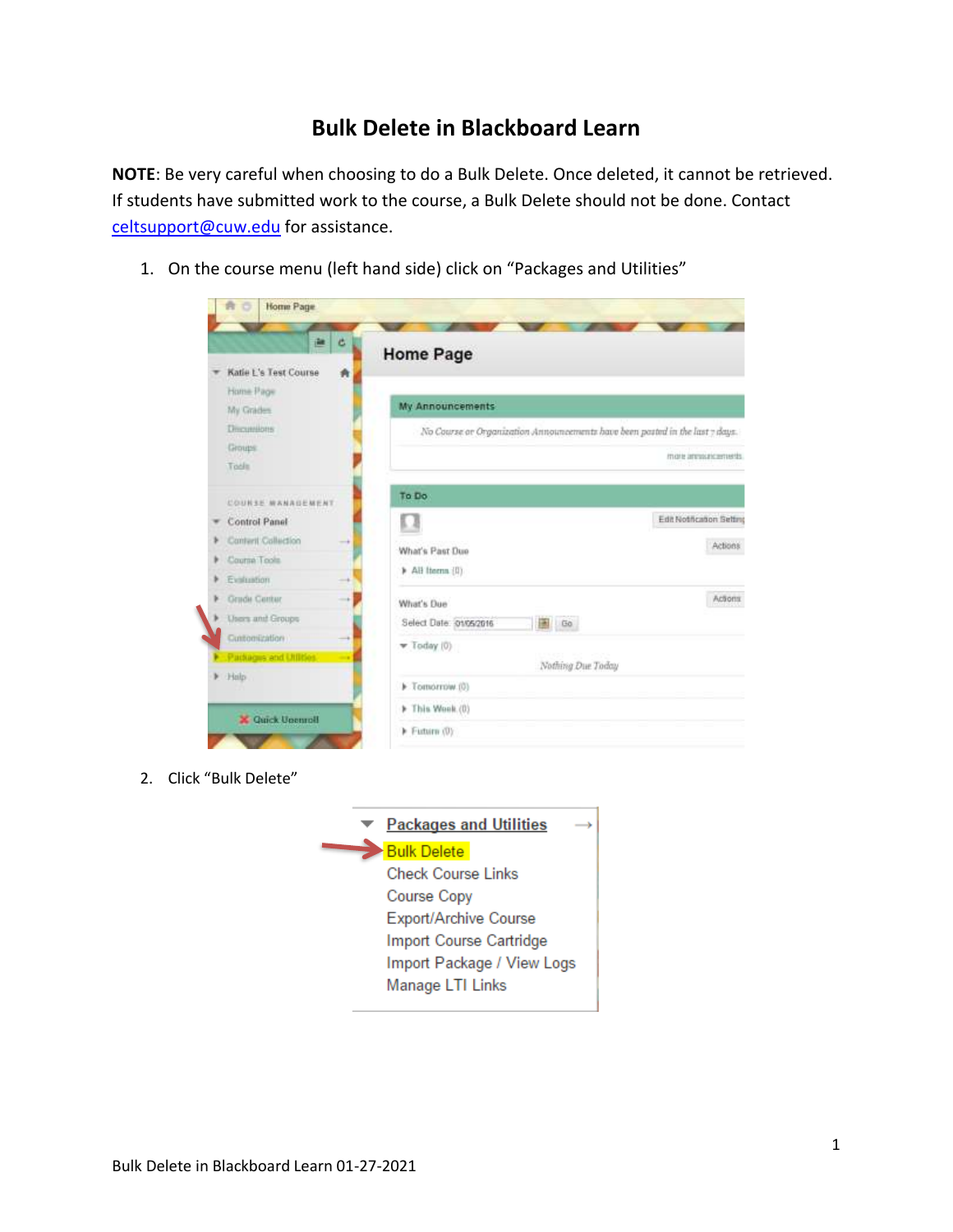## **Bulk Delete in Blackboard Learn**

**NOTE**: Be very careful when choosing to do a Bulk Delete. Once deleted, it cannot be retrieved. If students have submitted work to the course, a Bulk Delete should not be done. Contact [celtsupport@cuw.edu](mailto:celtsupport@cuw.edu) for assistance.

1. On the course menu (left hand side) click on "Packages and Utilities"

| 巴                          | <b>Home Page</b>                                                             |                           |
|----------------------------|------------------------------------------------------------------------------|---------------------------|
| Katie L's Test Course<br>青 |                                                                              |                           |
| Home Page                  | <b>My Announcements</b>                                                      |                           |
| My Grades                  |                                                                              |                           |
| Discussions                | No Course or Organization Announcements have been pasted in the last 7 days. |                           |
| Groups                     |                                                                              | more announcements.       |
| Tools                      |                                                                              |                           |
| COURSE MANAGEMENT          | To Do                                                                        |                           |
| Control Panel              |                                                                              | Edit Notification Setting |
| Canteril Callection<br>-   |                                                                              | Actions                   |
| Course Tools               | What's Past Due                                                              |                           |
| Evaluation                 | > All Items (I)                                                              |                           |
| <b>Grade Center</b>        | What's Due                                                                   | Actions                   |
| Users and Groups           | Select Date: 01/05/2016<br>A Go                                              |                           |
| Cuntomization              | $\blacktriangledown$ Today (0)                                               |                           |
| Packages and Utilities     |                                                                              |                           |
| Hilp                       | Nothing Due Today                                                            |                           |
|                            | F Tomorrow (0)                                                               |                           |
| <b>X</b> Guick Upenroll    | F This Wook (0)                                                              |                           |
|                            | Future (0):                                                                  |                           |

2. Click "Bulk Delete"

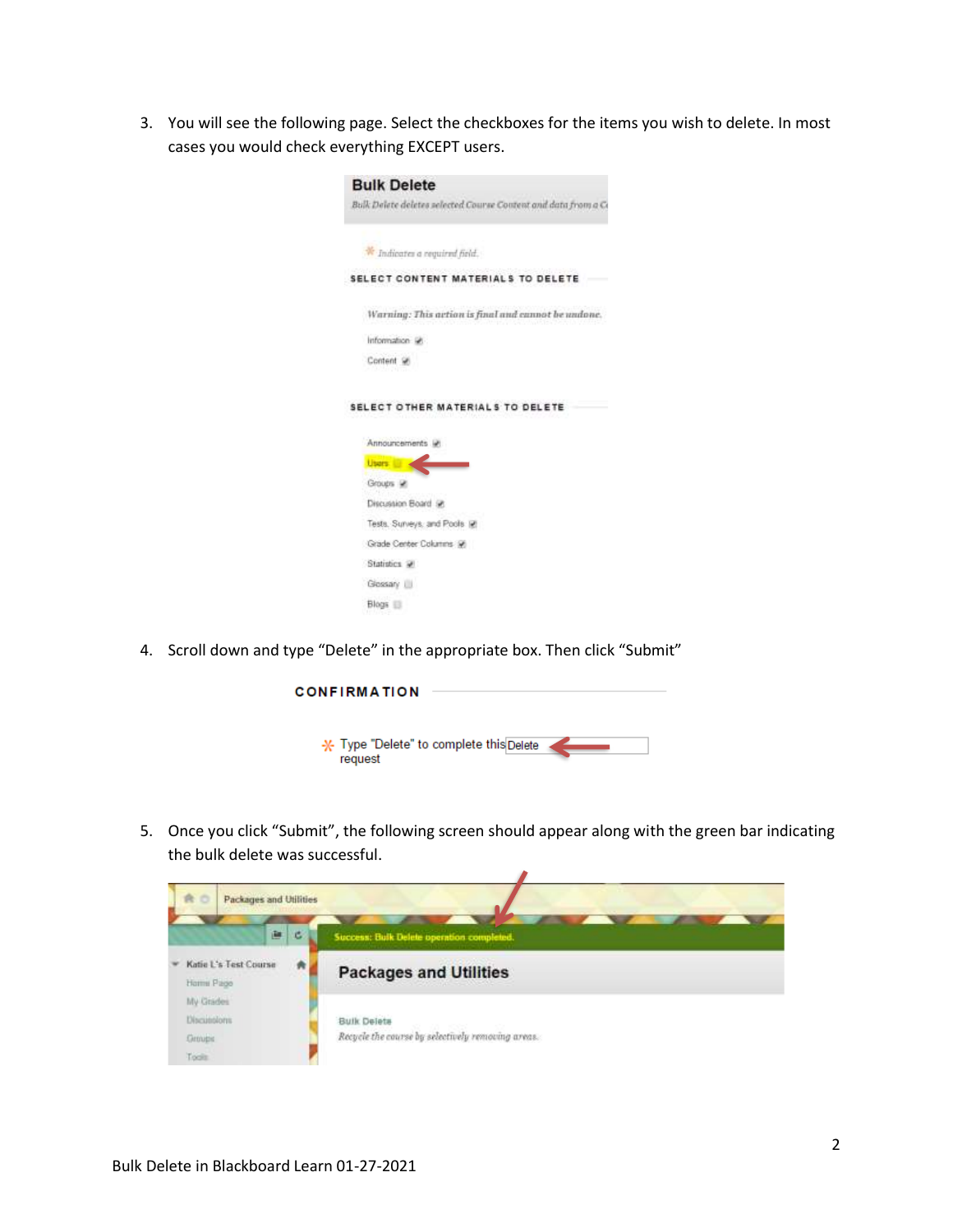3. You will see the following page. Select the checkboxes for the items you wish to delete. In most cases you would check everything EXCEPT users.

| <b>Bulk Delete</b>                                             |
|----------------------------------------------------------------|
| Bulk Delete deletes selected Course Content and data from a Co |
| Indicates a required field.                                    |
| SELECT CONTENT MATERIALS TO DELETE                             |
| Warning: This action is final and cannot be undone.            |
| Information (a)                                                |
| Content St                                                     |
| SELECT OTHER MATERIALS TO DELETE                               |
|                                                                |
| Announcements in                                               |
| <b>Users</b><br>Groups #                                       |
| Discussion Board @                                             |
| Tests. Surveys, and Pools IP                                   |
| Grade Center Columns (2)                                       |
| Statistics at                                                  |
| Glossary III                                                   |

4. Scroll down and type "Delete" in the appropriate box. Then click "Submit"



5. Once you click "Submit", the following screen should appear along with the green bar indicating the bulk delete was successful.